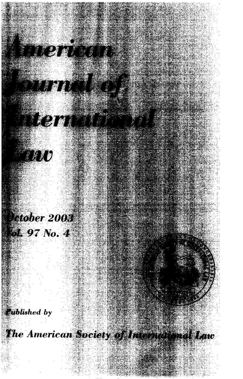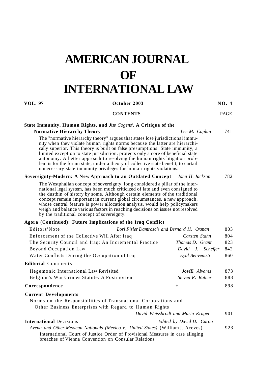# **AMERICAN JOURNAL OF INTERNATIONAL LAW**

# **VOL. 97 October 2003 NO. 4**

### **CONTENTS** PAGE

# **State Immunity, Human Rights, and** *Jus Cogens'.* **A Critique of the**

**Normative Hierarchy Theory** *Lee M. Caplan* 741

The "normative hierarchy theory" argues that states lose jurisdictional immunity when thev violate human rights norms because the latter are hierarchically superior. This theory is built on false presumptions. State immunity, a limited exception to state jurisdiction, protects only a core of beneficial state autonomy. A better approach to resolving the human rights litigation problem is for the forum state, under a theory of collective state benefit, to curtail unnecessary state immunity privileges for human rights violations.

#### **Sovereignty-Modern: A New Approach to an Outdated Concept** *John H. Jackson* 782

The Westphalian concept of sovereignty, long considered a pillar of the international legal system, has been much criticized of late and even consigned to the dustbin of history by some. Although certain elements of the traditional concept remain important in current global circumstances, a new approach, whose central feature is power allocation analysis, would help policymakers weigh and balance various factors in reaching decisions on issues not resolved by the traditional concept of sovereignty.

# **Agora (Continued): Future Implications of the Iraq Conflict**

| Editors'Note                                                                    | Lori Fisler Damrosch and Bernard H. Oxman |                                   | 803 |
|---------------------------------------------------------------------------------|-------------------------------------------|-----------------------------------|-----|
| Enforcement of the Collective Will After Iraq                                   |                                           | Carsten Stahn                     | 804 |
| The Security Council and Iraq: An Incremental Practice                          |                                           | Thomas D. Grant                   | 823 |
| Beyond Occupation Law                                                           |                                           | David J. Scheffer                 | 842 |
| Water Conflicts During the Occupation of Iraq                                   |                                           | Eyal Benvenisti                   | 860 |
| <b>Editorial</b> Comments                                                       |                                           |                                   |     |
| Hegemonic International Law Revisited                                           |                                           | JoséE. Alvarez                    | 873 |
| Belgium's War Crimes Statute: A Postmortem                                      |                                           | Steven R. Ratner                  | 888 |
| Correspondence                                                                  |                                           | $+$                               | 898 |
| <b>Current Developments</b>                                                     |                                           |                                   |     |
| Norms on the Responsibilities of Transnational Corporations and                 |                                           |                                   |     |
| Other Business Enterprises with Regard to Human Rights                          |                                           |                                   |     |
|                                                                                 |                                           | David Weissbrodt and Muria Kruger | 901 |
| <b>International Decisions</b>                                                  |                                           | Edited by David D. Caron          |     |
| Avena and Other Mexican Nationals (Mexico v. United States) (William J. Aceves) |                                           |                                   | 923 |
| International Court of Justice Order of Provisional Measures in case alleging   |                                           |                                   |     |

breaches of Vienna Convention on Consular Relations